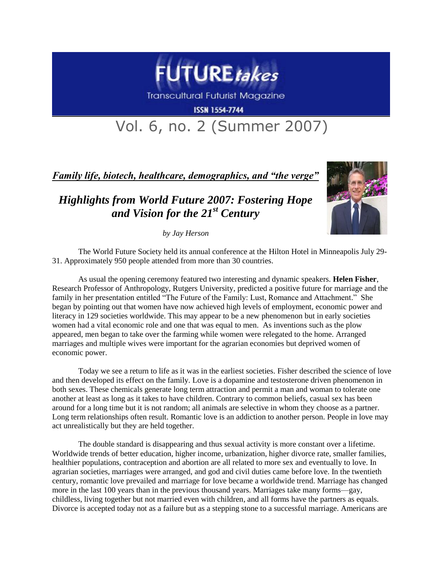

**Transcultural Futurist Magazine** 

**ISSN 1554-7744** 

## Vol. 6, no. 2 (Summer 2007)

*Family life, biotech, healthcare, demographics, and "the verge"*

## *Highlights from World Future 2007: Fostering Hope and Vision for the 21st Century*



*by Jay Herson*

The World Future Society held its annual conference at the Hilton Hotel in Minneapolis July 29- 31. Approximately 950 people attended from more than 30 countries.

As usual the opening ceremony featured two interesting and dynamic speakers. **Helen Fisher**, Research Professor of Anthropology, Rutgers University, predicted a positive future for marriage and the family in her presentation entitled "The Future of the Family: Lust, Romance and Attachment." She began by pointing out that women have now achieved high levels of employment, economic power and literacy in 129 societies worldwide. This may appear to be a new phenomenon but in early societies women had a vital economic role and one that was equal to men. As inventions such as the plow appeared, men began to take over the farming while women were relegated to the home. Arranged marriages and multiple wives were important for the agrarian economies but deprived women of economic power.

Today we see a return to life as it was in the earliest societies. Fisher described the science of love and then developed its effect on the family. Love is a dopamine and testosterone driven phenomenon in both sexes. These chemicals generate long term attraction and permit a man and woman to tolerate one another at least as long as it takes to have children. Contrary to common beliefs, casual sex has been around for a long time but it is not random; all animals are selective in whom they choose as a partner. Long term relationships often result. Romantic love is an addiction to another person. People in love may act unrealistically but they are held together.

The double standard is disappearing and thus sexual activity is more constant over a lifetime. Worldwide trends of better education, higher income, urbanization, higher divorce rate, smaller families, healthier populations, contraception and abortion are all related to more sex and eventually to love. In agrarian societies, marriages were arranged, and god and civil duties came before love. In the twentieth century, romantic love prevailed and marriage for love became a worldwide trend. Marriage has changed more in the last 100 years than in the previous thousand years. Marriages take many forms—gay, childless, living together but not married even with children, and all forms have the partners as equals. Divorce is accepted today not as a failure but as a stepping stone to a successful marriage. Americans are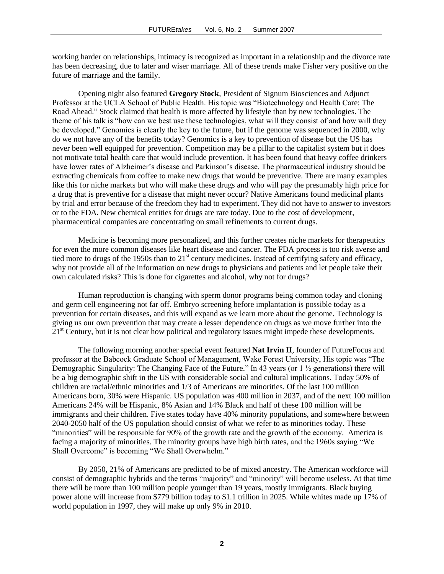working harder on relationships, intimacy is recognized as important in a relationship and the divorce rate has been decreasing, due to later and wiser marriage. All of these trends make Fisher very positive on the future of marriage and the family.

Opening night also featured **Gregory Stock**, President of Signum Biosciences and Adjunct Professor at the UCLA School of Public Health. His topic was "Biotechnology and Health Care: The Road Ahead." Stock claimed that health is more affected by lifestyle than by new technologies. The theme of his talk is "how can we best use these technologies, what will they consist of and how will they be developed." Genomics is clearly the key to the future, but if the genome was sequenced in 2000, why do we not have any of the benefits today? Genomics is a key to prevention of disease but the US has never been well equipped for prevention. Competition may be a pillar to the capitalist system but it does not motivate total health care that would include prevention. It has been found that heavy coffee drinkers have lower rates of Alzheimer's disease and Parkinson's disease. The pharmaceutical industry should be extracting chemicals from coffee to make new drugs that would be preventive. There are many examples like this for niche markets but who will make these drugs and who will pay the presumably high price for a drug that is preventive for a disease that might never occur? Native Americans found medicinal plants by trial and error because of the freedom they had to experiment. They did not have to answer to investors or to the FDA. New chemical entities for drugs are rare today. Due to the cost of development, pharmaceutical companies are concentrating on small refinements to current drugs.

Medicine is becoming more personalized, and this further creates niche markets for therapeutics for even the more common diseases like heart disease and cancer. The FDA process is too risk averse and tied more to drugs of the 1950s than to 21<sup>st</sup> century medicines. Instead of certifying safety and efficacy, why not provide all of the information on new drugs to physicians and patients and let people take their own calculated risks? This is done for cigarettes and alcohol, why not for drugs?

Human reproduction is changing with sperm donor programs being common today and cloning and germ cell engineering not far off. Embryo screening before implantation is possible today as a prevention for certain diseases, and this will expand as we learn more about the genome. Technology is giving us our own prevention that may create a lesser dependence on drugs as we move further into the  $21<sup>st</sup>$  Century, but it is not clear how political and regulatory issues might impede these developments.

The following morning another special event featured **Nat Irvin II**, founder of FutureFocus and professor at the Babcock Graduate School of Management, Wake Forest University, His topic was "The Demographic Singularity: The Changing Face of the Future." In 43 years (or 1 ½ generations) there will be a big demographic shift in the US with considerable social and cultural implications. Today 50% of children are racial/ethnic minorities and 1/3 of Americans are minorities. Of the last 100 million Americans born, 30% were Hispanic. US population was 400 million in 2037, and of the next 100 million Americans 24% will be Hispanic, 8% Asian and 14% Black and half of these 100 million will be immigrants and their children. Five states today have 40% minority populations, and somewhere between 2040-2050 half of the US population should consist of what we refer to as minorities today. These "minorities" will be responsible for 90% of the growth rate and the growth of the economy. America is facing a majority of minorities. The minority groups have high birth rates, and the 1960s saying "We Shall Overcome" is becoming "We Shall Overwhelm."

By 2050, 21% of Americans are predicted to be of mixed ancestry. The American workforce will consist of demographic hybrids and the terms "majority" and "minority" will become useless. At that time there will be more than 100 million people younger than 19 years, mostly immigrants. Black buying power alone will increase from \$779 billion today to \$1.1 trillion in 2025. While whites made up 17% of world population in 1997, they will make up only 9% in 2010.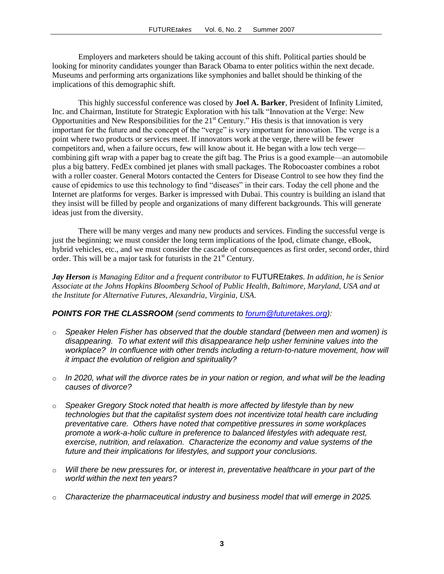Employers and marketers should be taking account of this shift. Political parties should be looking for minority candidates younger than Barack Obama to enter politics within the next decade. Museums and performing arts organizations like symphonies and ballet should be thinking of the implications of this demographic shift.

This highly successful conference was closed by **Joel A. Barker**, President of Infinity Limited, Inc. and Chairman, Institute for Strategic Exploration with his talk "Innovation at the Verge: New Opportunities and New Responsibilities for the  $21<sup>st</sup>$  Century." His thesis is that innovation is very important for the future and the concept of the "verge" is very important for innovation. The verge is a point where two products or services meet. If innovators work at the verge, there will be fewer competitors and, when a failure occurs, few will know about it. He began with a low tech verge combining gift wrap with a paper bag to create the gift bag. The Prius is a good example—an automobile plus a big battery. FedEx combined jet planes with small packages. The Robocoaster combines a robot with a roller coaster. General Motors contacted the Centers for Disease Control to see how they find the cause of epidemics to use this technology to find "diseases" in their cars. Today the cell phone and the Internet are platforms for verges. Barker is impressed with Dubai. This country is building an island that they insist will be filled by people and organizations of many different backgrounds. This will generate ideas just from the diversity.

There will be many verges and many new products and services. Finding the successful verge is just the beginning; we must consider the long term implications of the Ipod, climate change, eBook, hybrid vehicles, etc., and we must consider the cascade of consequences as first order, second order, third order. This will be a major task for futurists in the  $21<sup>st</sup>$  Century.

*Jay Herson is Managing Editor and a frequent contributor to* FUTURE*takes. In addition, he is Senior Associate at the Johns Hopkins Bloomberg School of Public Health, Baltimore, Maryland, USA and at the Institute for Alternative Futures, Alexandria, Virginia, USA.* 

## *POINTS FOR THE CLASSROOM (send comments to [forum@futuretakes.org\)](mailto:forum@futuretakes.org):*

- o *Speaker Helen Fisher has observed that the double standard (between men and women) is disappearing. To what extent will this disappearance help usher feminine values into the workplace? In confluence with other trends including a return-to-nature movement, how will it impact the evolution of religion and spirituality?*
- o *In 2020, what will the divorce rates be in your nation or region, and what will be the leading causes of divorce?*
- o *Speaker Gregory Stock noted that health is more affected by lifestyle than by new technologies but that the capitalist system does not incentivize total health care including preventative care. Others have noted that competitive pressures in some workplaces promote a work-a-holic culture in preference to balanced lifestyles with adequate rest, exercise, nutrition, and relaxation. Characterize the economy and value systems of the future and their implications for lifestyles, and support your conclusions.*
- o *Will there be new pressures for, or interest in, preventative healthcare in your part of the world within the next ten years?*
- o *Characterize the pharmaceutical industry and business model that will emerge in 2025.*